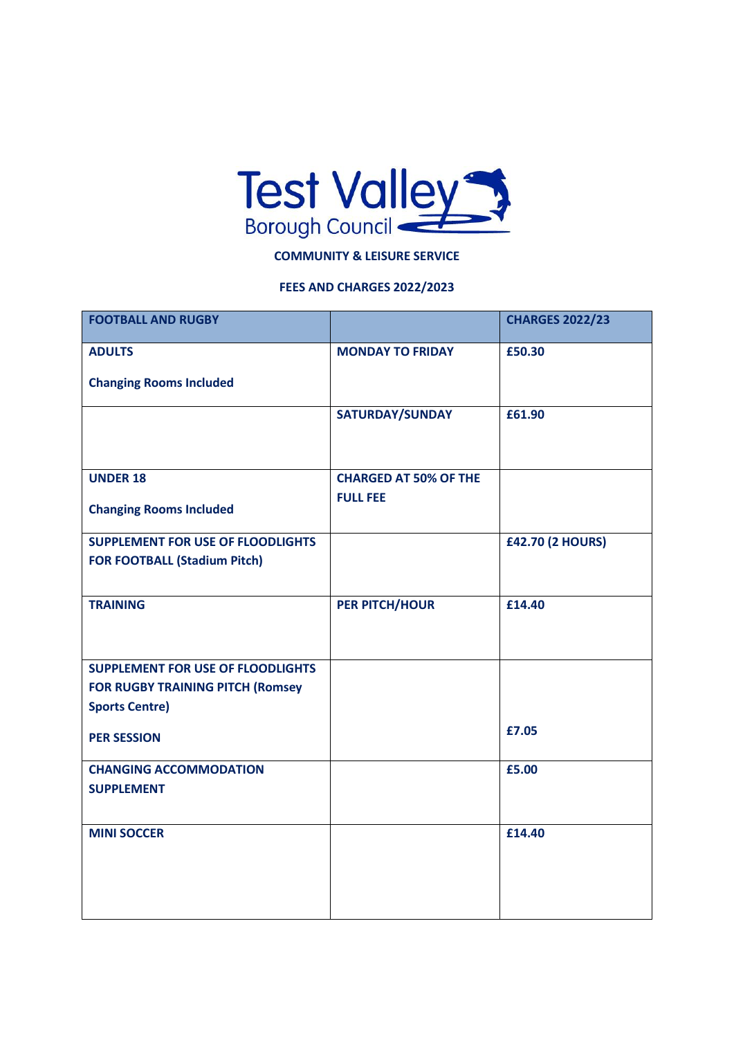

## **COMMUNITY & LEISURE SERVICE**

## **FEES AND CHARGES 2022/2023**

| <b>FOOTBALL AND RUGBY</b>                |                              | <b>CHARGES 2022/23</b>  |
|------------------------------------------|------------------------------|-------------------------|
| <b>ADULTS</b>                            | <b>MONDAY TO FRIDAY</b>      | £50.30                  |
| <b>Changing Rooms Included</b>           |                              |                         |
|                                          | SATURDAY/SUNDAY              | £61.90                  |
|                                          |                              |                         |
| <b>UNDER 18</b>                          | <b>CHARGED AT 50% OF THE</b> |                         |
| <b>Changing Rooms Included</b>           | <b>FULL FEE</b>              |                         |
| <b>SUPPLEMENT FOR USE OF FLOODLIGHTS</b> |                              | <b>£42.70 (2 HOURS)</b> |
| <b>FOR FOOTBALL (Stadium Pitch)</b>      |                              |                         |
| <b>TRAINING</b>                          | PER PITCH/HOUR               | £14.40                  |
|                                          |                              |                         |
| <b>SUPPLEMENT FOR USE OF FLOODLIGHTS</b> |                              |                         |
| <b>FOR RUGBY TRAINING PITCH (Romsey</b>  |                              |                         |
| <b>Sports Centre)</b>                    |                              |                         |
| <b>PER SESSION</b>                       |                              | £7.05                   |
| <b>CHANGING ACCOMMODATION</b>            |                              | £5.00                   |
| <b>SUPPLEMENT</b>                        |                              |                         |
|                                          |                              |                         |
| <b>MINI SOCCER</b>                       |                              | £14.40                  |
|                                          |                              |                         |
|                                          |                              |                         |
|                                          |                              |                         |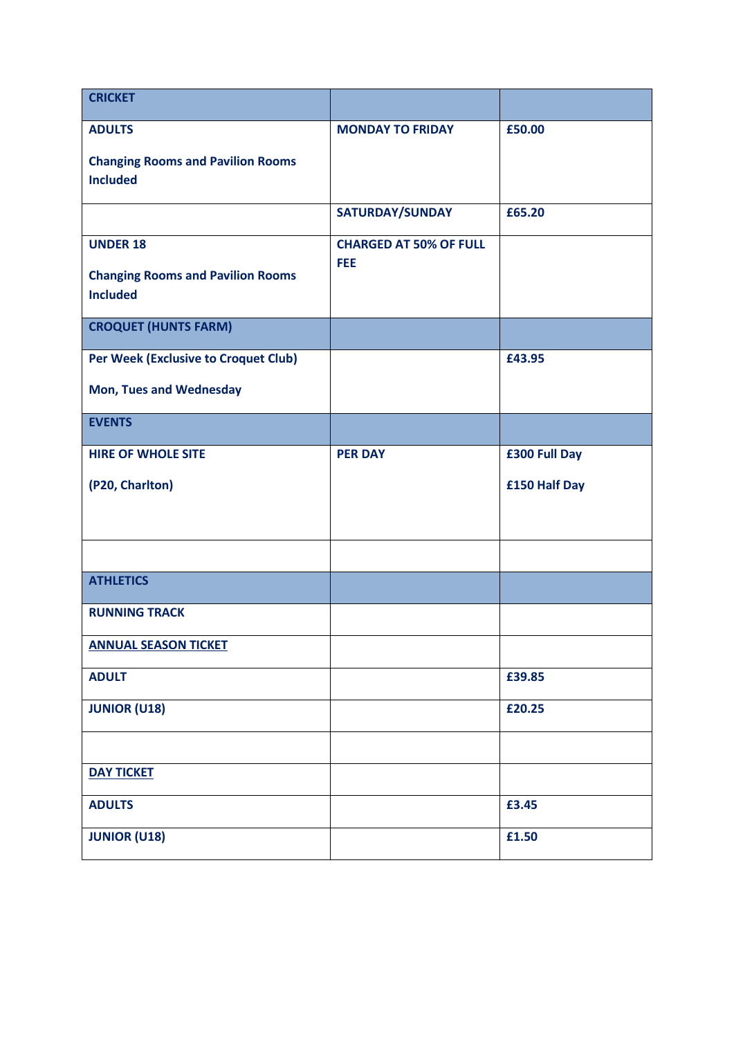| <b>CRICKET</b>                           |                                      |               |
|------------------------------------------|--------------------------------------|---------------|
| <b>ADULTS</b>                            | <b>MONDAY TO FRIDAY</b>              | £50.00        |
| <b>Changing Rooms and Pavilion Rooms</b> |                                      |               |
| <b>Included</b>                          |                                      |               |
|                                          | SATURDAY/SUNDAY                      | £65.20        |
| <b>UNDER 18</b>                          | <b>CHARGED AT 50% OF FULL</b><br>FEE |               |
| <b>Changing Rooms and Pavilion Rooms</b> |                                      |               |
| <b>Included</b>                          |                                      |               |
| <b>CROQUET (HUNTS FARM)</b>              |                                      |               |
| Per Week (Exclusive to Croquet Club)     |                                      | £43.95        |
| <b>Mon, Tues and Wednesday</b>           |                                      |               |
| <b>EVENTS</b>                            |                                      |               |
| <b>HIRE OF WHOLE SITE</b>                | <b>PER DAY</b>                       | £300 Full Day |
| (P20, Charlton)                          |                                      | £150 Half Day |
|                                          |                                      |               |
|                                          |                                      |               |
| <b>ATHLETICS</b>                         |                                      |               |
| <b>RUNNING TRACK</b>                     |                                      |               |
| <b>ANNUAL SEASON TICKET</b>              |                                      |               |
| <b>ADULT</b>                             |                                      | £39.85        |
| <b>JUNIOR (U18)</b>                      |                                      | £20.25        |
|                                          |                                      |               |
| <b>DAY TICKET</b>                        |                                      |               |
| <b>ADULTS</b>                            |                                      | £3.45         |
| <b>JUNIOR (U18)</b>                      |                                      | £1.50         |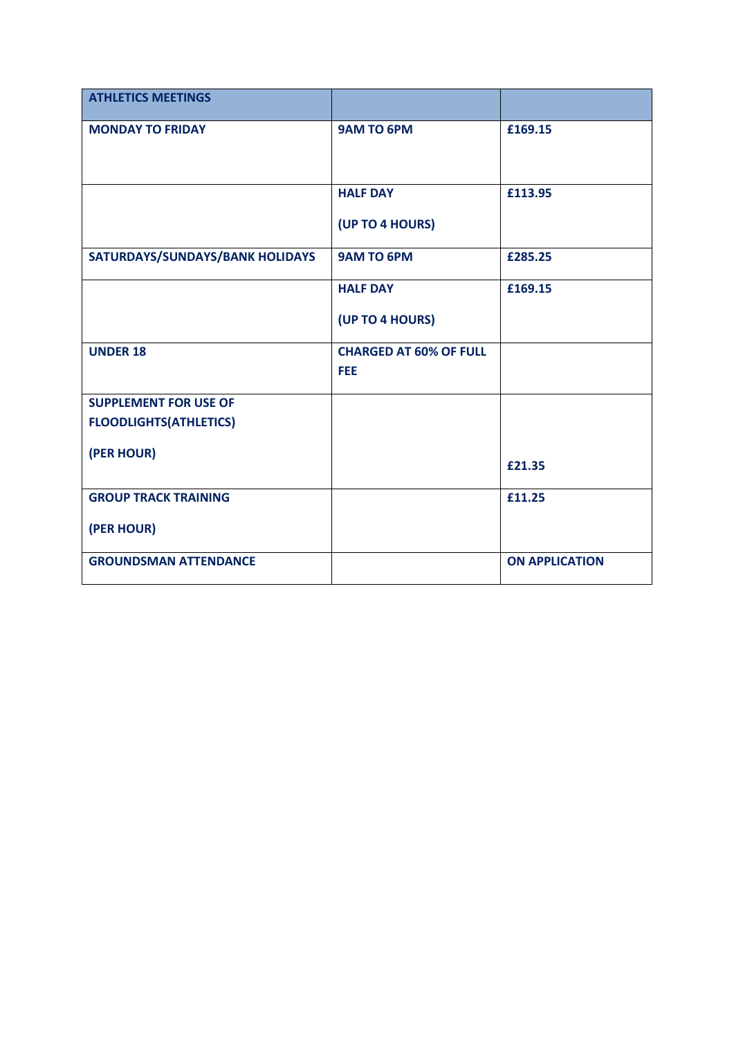| <b>ATHLETICS MEETINGS</b>              |                                             |                       |
|----------------------------------------|---------------------------------------------|-----------------------|
| <b>MONDAY TO FRIDAY</b>                | <b>9AM TO 6PM</b>                           | £169.15               |
|                                        | <b>HALF DAY</b><br>(UP TO 4 HOURS)          | £113.95               |
| <b>SATURDAYS/SUNDAYS/BANK HOLIDAYS</b> | <b>9AM TO 6PM</b>                           | £285.25               |
|                                        | <b>HALF DAY</b><br>(UP TO 4 HOURS)          | £169.15               |
| <b>UNDER 18</b>                        | <b>CHARGED AT 60% OF FULL</b><br><b>FEE</b> |                       |
| <b>SUPPLEMENT FOR USE OF</b>           |                                             |                       |
| <b>FLOODLIGHTS(ATHLETICS)</b>          |                                             |                       |
| (PER HOUR)                             |                                             | £21.35                |
| <b>GROUP TRACK TRAINING</b>            |                                             | £11.25                |
| (PER HOUR)                             |                                             |                       |
| <b>GROUNDSMAN ATTENDANCE</b>           |                                             | <b>ON APPLICATION</b> |